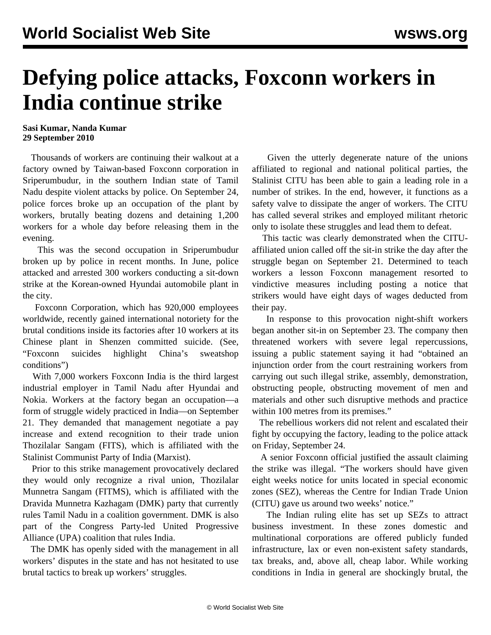## **Defying police attacks, Foxconn workers in India continue strike**

## **Sasi Kumar, Nanda Kumar 29 September 2010**

 Thousands of workers are continuing their walkout at a factory owned by Taiwan-based Foxconn corporation in Sriperumbudur, in the southern Indian state of Tamil Nadu despite violent attacks by police. On September 24, police forces broke up an occupation of the plant by workers, brutally beating dozens and detaining 1,200 workers for a whole day before releasing them in the evening.

 This was the second occupation in Sriperumbudur broken up by police in recent months. In June, police attacked and arrested 300 workers conducting a sit-down strike at the Korean-owned Hyundai automobile plant in the city.

 Foxconn Corporation, which has 920,000 employees worldwide, recently gained international notoriety for the brutal conditions inside its factories after 10 workers at its Chinese plant in Shenzen committed suicide. (See, ["Foxconn suicides highlight China's sweatshop](/en/articles/2010/jun2010/foxc-j03.shtml) [conditions](/en/articles/2010/jun2010/foxc-j03.shtml)")

 With 7,000 workers Foxconn India is the third largest industrial employer in Tamil Nadu after Hyundai and Nokia. Workers at the factory began an occupation—a form of struggle widely practiced in India—on September 21. They demanded that management negotiate a pay increase and extend recognition to their trade union Thozilalar Sangam (FITS), which is affiliated with the Stalinist Communist Party of India (Marxist).

 Prior to this strike management provocatively declared they would only recognize a rival union, Thozilalar Munnetra Sangam (FITMS), which is affiliated with the Dravida Munnetra Kazhagam (DMK) party that currently rules Tamil Nadu in a coalition government. DMK is also part of the Congress Party-led United Progressive Alliance (UPA) coalition that rules India.

 The DMK has openly sided with the management in all workers' disputes in the state and has not hesitated to use brutal tactics to break up workers' struggles.

 Given the utterly degenerate nature of the unions affiliated to regional and national political parties, the Stalinist CITU has been able to gain a leading role in a number of strikes. In the end, however, it functions as a safety valve to dissipate the anger of workers. The CITU has called several strikes and employed militant rhetoric only to isolate these struggles and lead them to defeat.

 This tactic was clearly demonstrated when the CITUaffiliated union called off the sit-in strike the day after the struggle began on September 21. Determined to teach workers a lesson Foxconn management resorted to vindictive measures including posting a notice that strikers would have eight days of wages deducted from their pay.

 In response to this provocation night-shift workers began another sit-in on September 23. The company then threatened workers with severe legal repercussions, issuing a public statement saying it had "obtained an injunction order from the court restraining workers from carrying out such illegal strike, assembly, demonstration, obstructing people, obstructing movement of men and materials and other such disruptive methods and practice within 100 metres from its premises."

 The rebellious workers did not relent and escalated their fight by occupying the factory, leading to the police attack on Friday, September 24.

 A senior Foxconn official justified the assault claiming the strike was illegal. "The workers should have given eight weeks notice for units located in special economic zones (SEZ), whereas the Centre for Indian Trade Union (CITU) gave us around two weeks' notice."

 The Indian ruling elite has set up SEZs to attract business investment. In these zones domestic and multinational corporations are offered publicly funded infrastructure, lax or even non-existent safety standards, tax breaks, and, above all, cheap labor. While working conditions in India in general are shockingly brutal, the